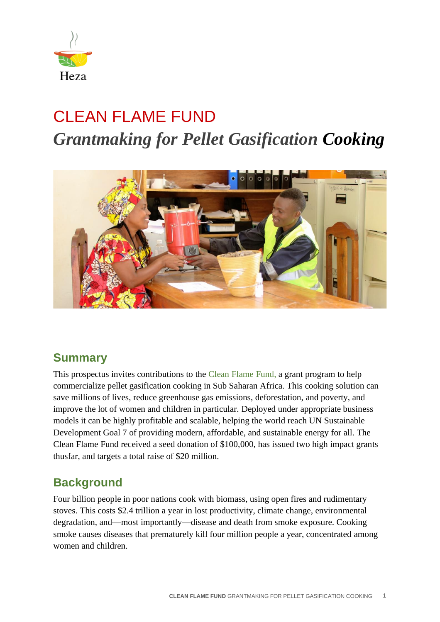

# CLEAN FLAME FUND *Grantmaking for Pellet Gasification Cooking*



#### **Summary**

This prospectus invites contributions to the [Clean Flame Fund,](https://www.hezaearth.org/grants) a grant program to help commercialize pellet gasification cooking in Sub Saharan Africa. This cooking solution can save millions of lives, reduce greenhouse gas emissions, deforestation, and poverty, and improve the lot of women and children in particular. Deployed under appropriate business models it can be highly profitable and scalable, helping the world reach UN Sustainable Development Goal 7 of providing modern, affordable, and sustainable energy for all. The Clean Flame Fund received a seed donation of \$100,000, has issued two high impact grants thusfar, and targets a total raise of \$20 million.

## **Background**

Four billion people in poor nations cook with biomass, using open fires and rudimentary stoves. This costs \$2.4 trillion a year in lost productivity, climate change, environmental degradation, and—most importantly—disease and death from smoke exposure. Cooking smoke causes diseases that prematurely kill four million people a year, concentrated among women and children.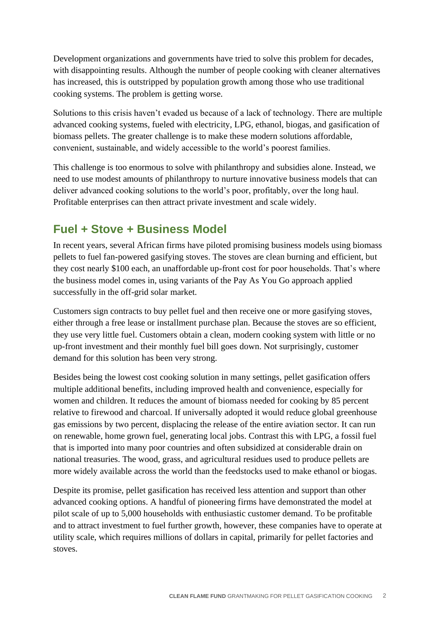Development organizations and governments have tried to solve this problem for decades, with disappointing results. Although the number of people cooking with cleaner alternatives has increased, this is outstripped by population growth among those who use traditional cooking systems. The problem is getting worse.

Solutions to this crisis haven't evaded us because of a lack of technology. There are multiple advanced cooking systems, fueled with electricity, LPG, ethanol, biogas, and gasification of biomass pellets. The greater challenge is to make these modern solutions affordable, convenient, sustainable, and widely accessible to the world's poorest families.

This challenge is too enormous to solve with philanthropy and subsidies alone. Instead, we need to use modest amounts of philanthropy to nurture innovative business models that can deliver advanced cooking solutions to the world's poor, profitably, over the long haul. Profitable enterprises can then attract private investment and scale widely.

## **Fuel + Stove + Business Model**

In recent years, several African firms have piloted promising business models using biomass pellets to fuel fan-powered gasifying stoves. The stoves are clean burning and efficient, but they cost nearly \$100 each, an unaffordable up-front cost for poor households. That's where the business model comes in, using variants of the Pay As You Go approach applied successfully in the off-grid solar market.

Customers sign contracts to buy pellet fuel and then receive one or more gasifying stoves, either through a free lease or installment purchase plan. Because the stoves are so efficient, they use very little fuel. Customers obtain a clean, modern cooking system with little or no up-front investment and their monthly fuel bill goes down. Not surprisingly, customer demand for this solution has been very strong.

Besides being the lowest cost cooking solution in many settings, pellet gasification offers multiple additional benefits, including improved health and convenience, especially for women and children. It reduces the amount of biomass needed for cooking by 85 percent relative to firewood and charcoal. If universally adopted it would reduce global greenhouse gas emissions by two percent, displacing the release of the entire aviation sector. It can run on renewable, home grown fuel, generating local jobs. Contrast this with LPG, a fossil fuel that is imported into many poor countries and often subsidized at considerable drain on national treasuries. The wood, grass, and agricultural residues used to produce pellets are more widely available across the world than the feedstocks used to make ethanol or biogas.

Despite its promise, pellet gasification has received less attention and support than other advanced cooking options. A handful of pioneering firms have demonstrated the model at pilot scale of up to 5,000 households with enthusiastic customer demand. To be profitable and to attract investment to fuel further growth, however, these companies have to operate at utility scale, which requires millions of dollars in capital, primarily for pellet factories and stoves.